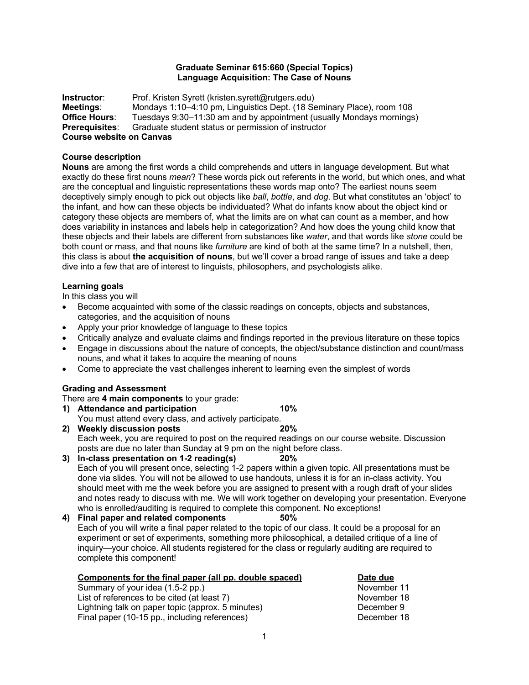#### **Graduate Seminar 615:660 (Special Topics) Language Acquisition: The Case of Nouns**

**Instructor:** Prof. Kristen Syrett (kristen.syrett@rutgers.edu) **Meetings**: Mondays 1:10–4:10 pm, Linguistics Dept. (18 Seminary Place), room 108 **Office Hours**: Tuesdays 9:30–11:30 am and by appointment (usually Mondays mornings) **Prerequisites**: Graduate student status or permission of instructor **Course website on Canvas**

# **Course description**

**Nouns** are among the first words a child comprehends and utters in language development. But what exactly do these first nouns *mean*? These words pick out referents in the world, but which ones, and what are the conceptual and linguistic representations these words map onto? The earliest nouns seem deceptively simply enough to pick out objects like *ball*, *bottle*, and *dog*. But what constitutes an 'object' to the infant, and how can these objects be individuated? What do infants know about the object kind or category these objects are members of, what the limits are on what can count as a member, and how does variability in instances and labels help in categorization? And how does the young child know that these objects and their labels are different from substances like *water*, and that words like *stone* could be both count or mass, and that nouns like *furniture* are kind of both at the same time? In a nutshell, then, this class is about **the acquisition of nouns**, but we'll cover a broad range of issues and take a deep dive into a few that are of interest to linguists, philosophers, and psychologists alike.

# **Learning goals**

In this class you will

- Become acquainted with some of the classic readings on concepts, objects and substances, categories, and the acquisition of nouns
- Apply your prior knowledge of language to these topics
- Critically analyze and evaluate claims and findings reported in the previous literature on these topics
- Engage in discussions about the nature of concepts, the object/substance distinction and count/mass nouns, and what it takes to acquire the meaning of nouns
- Come to appreciate the vast challenges inherent to learning even the simplest of words

# **Grading and Assessment**

There are **4 main components** to your grade:

- **1) Attendance and participation 10%** You must attend every class, and actively participate.<br>Weekly discussion posts
- **2) Weekly discussion posts 20%** Each week, you are required to post on the required readings on our course website. Discussion posts are due no later than Sunday at 9 pm on the night before class.
- **3) In-class presentation on 1-2 reading(s) 20%** Each of you will present once, selecting 1-2 papers within a given topic. All presentations must be done via slides. You will not be allowed to use handouts, unless it is for an in-class activity. You should meet with me the week before you are assigned to present with a rough draft of your slides and notes ready to discuss with me. We will work together on developing your presentation. Everyone who is enrolled/auditing is required to complete this component. No exceptions!

# **4) Final paper and related components 50%** Each of you will write a final paper related to the topic of our class. It could be a proposal for an experiment or set of experiments, something more philosophical, a detailed critique of a line of inquiry—your choice. All students registered for the class or regularly auditing are required to complete this component!

| Components for the final paper (all pp. double spaced) | Date due    |
|--------------------------------------------------------|-------------|
| Summary of your idea (1.5-2 pp.)                       | November 11 |
| List of references to be cited (at least 7)            | November 18 |
| Lightning talk on paper topic (approx. 5 minutes)      | December 9  |
| Final paper (10-15 pp., including references)          | December 18 |